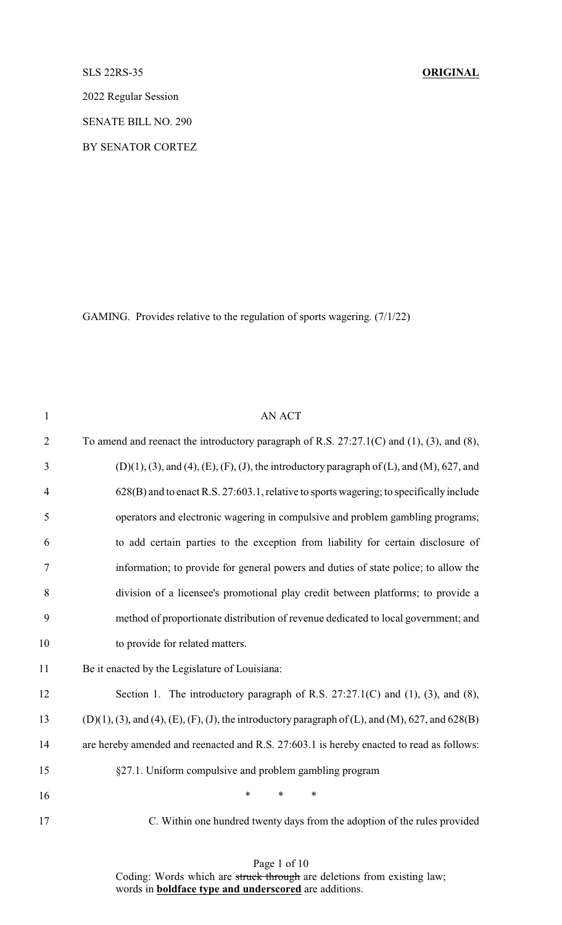SLS 22RS-35 **ORIGINAL**

2022 Regular Session

SENATE BILL NO. 290

BY SENATOR CORTEZ

GAMING. Provides relative to the regulation of sports wagering. (7/1/22)

| $\mathbf{1}$   | <b>AN ACT</b>                                                                                                |
|----------------|--------------------------------------------------------------------------------------------------------------|
| $\overline{2}$ | To amend and reenact the introductory paragraph of R.S. $27:27.1(C)$ and $(1)$ , $(3)$ , and $(8)$ ,         |
| 3              | $(D)(1)$ , (3), and (4), (E), (F), (J), the introductory paragraph of (L), and (M), 627, and                 |
| $\overline{4}$ | 628(B) and to enact R.S. 27:603.1, relative to sports wagering; to specifically include                      |
| 5              | operators and electronic wagering in compulsive and problem gambling programs;                               |
| 6              | to add certain parties to the exception from liability for certain disclosure of                             |
| $\tau$         | information; to provide for general powers and duties of state police; to allow the                          |
| 8              | division of a licensee's promotional play credit between platforms; to provide a                             |
| 9              | method of proportionate distribution of revenue dedicated to local government; and                           |
| 10             | to provide for related matters.                                                                              |
| 11             | Be it enacted by the Legislature of Louisiana:                                                               |
| 12             | Section 1. The introductory paragraph of R.S. $27:27.1(C)$ and (1), (3), and (8),                            |
| 13             | $(D)(1), (3),$ and $(4), (E), (F), (J),$ the introductory paragraph of $(L)$ , and $(M), 627$ , and $628(B)$ |
| 14             | are hereby amended and reenacted and R.S. 27:603.1 is hereby enacted to read as follows:                     |
| 15             | §27.1. Uniform compulsive and problem gambling program                                                       |
| 16             | *<br>$\ast$<br>$\ast$                                                                                        |
| 17             | C. Within one hundred twenty days from the adoption of the rules provided                                    |

Page 1 of 10

Coding: Words which are struck through are deletions from existing law; words in **boldface type and underscored** are additions.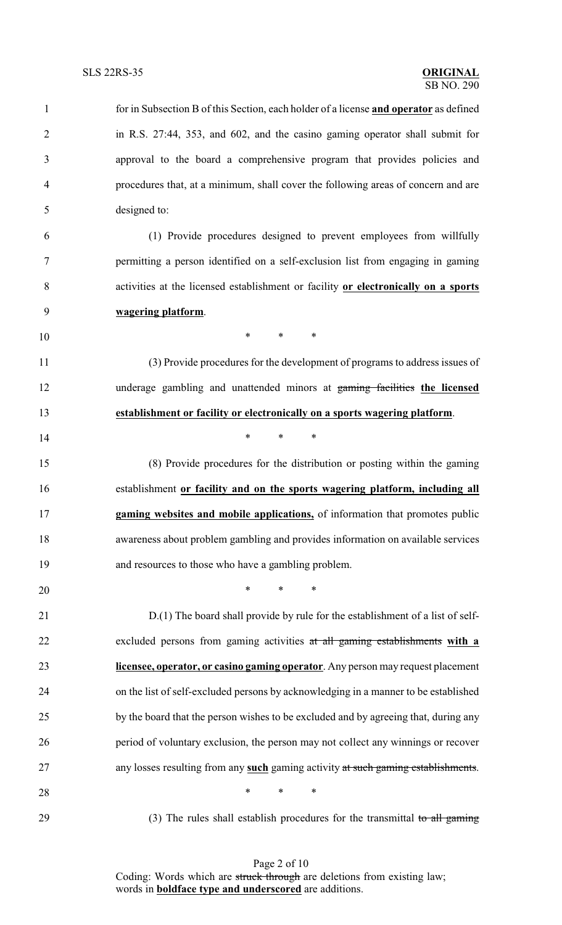| $\mathbf{1}$   | for in Subsection B of this Section, each holder of a license and operator as defined |
|----------------|---------------------------------------------------------------------------------------|
| $\overline{2}$ | in R.S. 27:44, 353, and 602, and the casino gaming operator shall submit for          |
| 3              | approval to the board a comprehensive program that provides policies and              |
| 4              | procedures that, at a minimum, shall cover the following areas of concern and are     |
| 5              | designed to:                                                                          |
| 6              | (1) Provide procedures designed to prevent employees from willfully                   |
| 7              | permitting a person identified on a self-exclusion list from engaging in gaming       |
| 8              | activities at the licensed establishment or facility or electronically on a sports    |
| 9              | wagering platform.                                                                    |
| 10             | $*$ and $*$<br>$\ast$<br>$\ast$                                                       |
| 11             | (3) Provide procedures for the development of programs to address issues of           |
| 12             | underage gambling and unattended minors at gaming facilities the licensed             |
| 13             | establishment or facility or electronically on a sports wagering platform.            |
| 14             | *<br>$\ast$<br>∗                                                                      |
| 15             | (8) Provide procedures for the distribution or posting within the gaming              |
| 16             | establishment or facility and on the sports wagering platform, including all          |
| 17             | gaming websites and mobile applications, of information that promotes public          |
| 18             | awareness about problem gambling and provides information on available services       |
| 19             | and resources to those who have a gambling problem.                                   |
| 20             | $\ast$<br>$\ast$<br>$\ast$                                                            |
| 21             | D.(1) The board shall provide by rule for the establishment of a list of self-        |
| 22             | excluded persons from gaming activities at all gaming establishments with a           |
| 23             | licensee, operator, or casino gaming operator. Any person may request placement       |
| 24             | on the list of self-excluded persons by acknowledging in a manner to be established   |
| 25             | by the board that the person wishes to be excluded and by agreeing that, during any   |
| 26             | period of voluntary exclusion, the person may not collect any winnings or recover     |
| 27             | any losses resulting from any such gaming activity at such gaming establishments.     |
| 28             | $\ast$<br>$\ast$<br>$\ast$                                                            |
| 29             | (3) The rules shall establish procedures for the transmittal to all gaming            |

Page 2 of 10 Coding: Words which are struck through are deletions from existing law; words in **boldface type and underscored** are additions.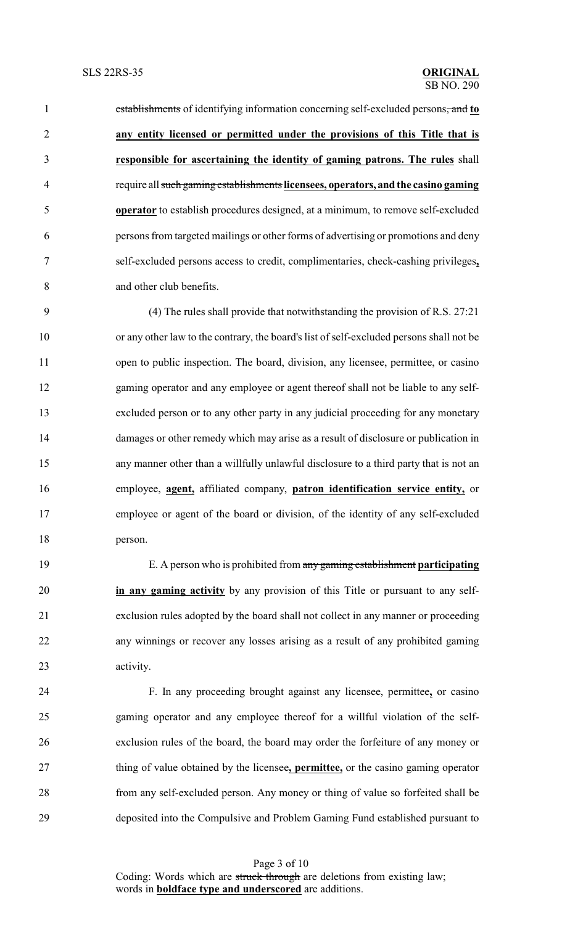establishments of identifying information concerning self-excluded persons, and **to any entity licensed or permitted under the provisions of this Title that is responsible for ascertaining the identity of gaming patrons. The rules** shall require all such gaming establishments **licensees, operators, and the casino gaming operator** to establish procedures designed, at a minimum, to remove self-excluded persons from targeted mailings or other forms of advertising or promotions and deny self-excluded persons access to credit, complimentaries, check-cashing privileges**,** and other club benefits.

 (4) The rules shall provide that notwithstanding the provision of R.S. 27:21 or any other law to the contrary, the board's list of self-excluded persons shall not be 11 open to public inspection. The board, division, any licensee, permittee, or casino gaming operator and any employee or agent thereof shall not be liable to any self- excluded person or to any other party in any judicial proceeding for any monetary damages or other remedy which may arise as a result of disclosure or publication in any manner other than a willfully unlawful disclosure to a third party that is not an employee, **agent,** affiliated company, **patron identification service entity,** or employee or agent of the board or division, of the identity of any self-excluded person.

 E. A person who is prohibited from any gaming establishment **participating in any gaming activity** by any provision of this Title or pursuant to any self- exclusion rules adopted by the board shall not collect in any manner or proceeding any winnings or recover any losses arising as a result of any prohibited gaming activity.

 F. In any proceeding brought against any licensee, permittee**,** or casino gaming operator and any employee thereof for a willful violation of the self- exclusion rules of the board, the board may order the forfeiture of any money or thing of value obtained by the licensee**, permittee,** or the casino gaming operator from any self-excluded person. Any money or thing of value so forfeited shall be deposited into the Compulsive and Problem Gaming Fund established pursuant to

> Page 3 of 10 Coding: Words which are struck through are deletions from existing law; words in **boldface type and underscored** are additions.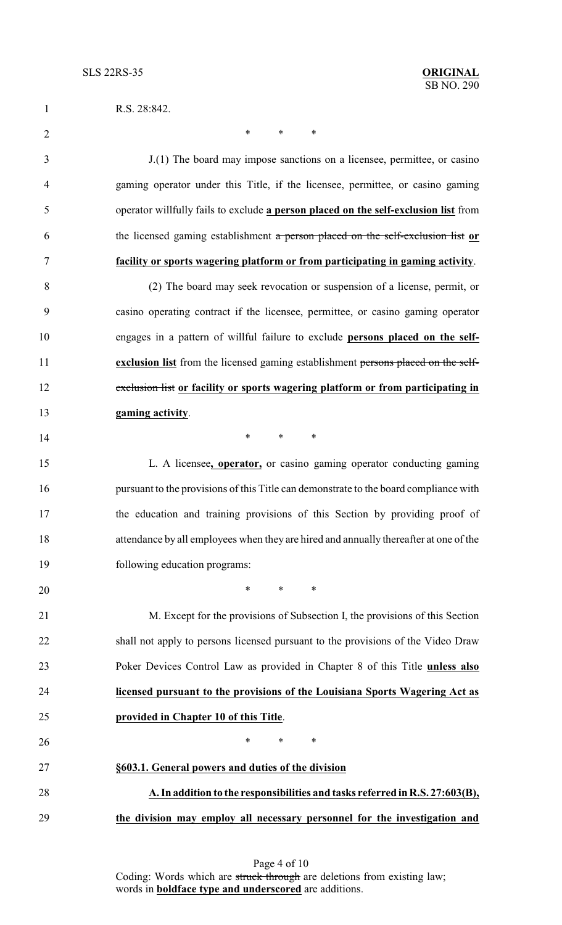| $\mathbf{1}$   | R.S. 28:842.                                                                          |
|----------------|---------------------------------------------------------------------------------------|
| $\overline{2}$ | *<br>*<br>∗                                                                           |
| 3              | J.(1) The board may impose sanctions on a licensee, permittee, or casino              |
| 4              | gaming operator under this Title, if the licensee, permittee, or casino gaming        |
| 5              | operator willfully fails to exclude a person placed on the self-exclusion list from   |
| 6              | the licensed gaming establishment a person placed on the self-exclusion list or       |
| 7              | facility or sports wagering platform or from participating in gaming activity.        |
| 8              | (2) The board may seek revocation or suspension of a license, permit, or              |
| 9              | casino operating contract if the licensee, permittee, or casino gaming operator       |
| 10             | engages in a pattern of willful failure to exclude persons placed on the self-        |
| 11             | exclusion list from the licensed gaming establishment persons placed on the self-     |
| 12             | exclusion list or facility or sports wagering platform or from participating in       |
| 13             | gaming activity.                                                                      |
| 14             | $\ast$<br>$\ast$<br>∗                                                                 |
| 15             | L. A licensee, <b>operator</b> , or casino gaming operator conducting gaming          |
| 16             | pursuant to the provisions of this Title can demonstrate to the board compliance with |
| 17             | the education and training provisions of this Section by providing proof of           |
| 18             | attendance by all employees when they are hired and annually thereafter at one of the |
| 19             | following education programs:                                                         |
| 20             | $*$ $*$<br>$\ast$<br>$\ast$                                                           |
| 21             | M. Except for the provisions of Subsection I, the provisions of this Section          |
| 22             | shall not apply to persons licensed pursuant to the provisions of the Video Draw      |
| 23             | Poker Devices Control Law as provided in Chapter 8 of this Title unless also          |
| 24             | licensed pursuant to the provisions of the Louisiana Sports Wagering Act as           |
| 25             | provided in Chapter 10 of this Title.                                                 |
| 26             | $\ast$<br>*<br>∗                                                                      |
| 27             | §603.1. General powers and duties of the division                                     |
| 28             | A. In addition to the responsibilities and tasks referred in R.S. 27:603(B),          |
| 29             | the division may employ all necessary personnel for the investigation and             |

Page 4 of 10 Coding: Words which are struck through are deletions from existing law; words in **boldface type and underscored** are additions.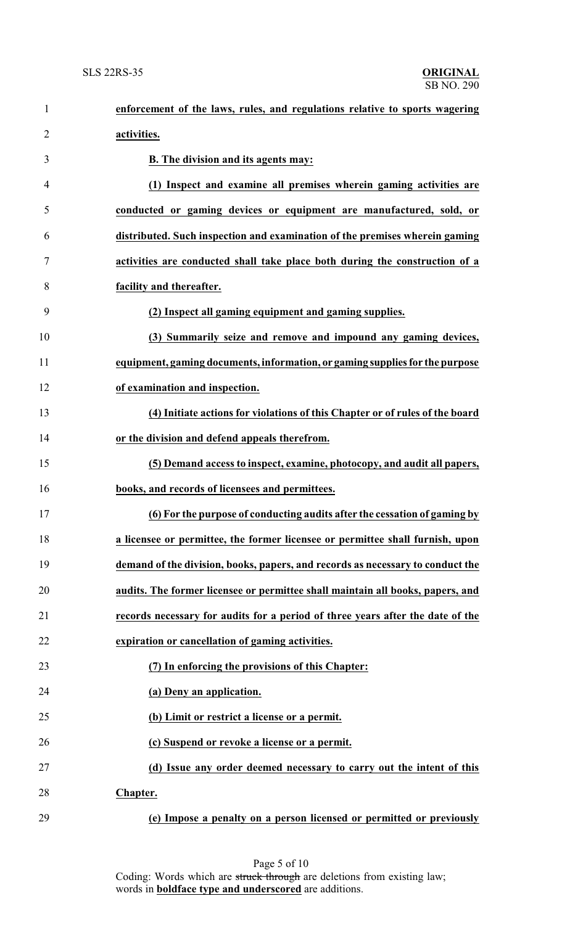| $\mathbf{1}$   | enforcement of the laws, rules, and regulations relative to sports wagering    |
|----------------|--------------------------------------------------------------------------------|
| $\overline{2}$ | activities.                                                                    |
| 3              | B. The division and its agents may:                                            |
| 4              | (1) Inspect and examine all premises wherein gaming activities are             |
| 5              | conducted or gaming devices or equipment are manufactured, sold, or            |
| 6              | distributed. Such inspection and examination of the premises wherein gaming    |
| 7              | activities are conducted shall take place both during the construction of a    |
| 8              | facility and thereafter.                                                       |
| 9              | (2) Inspect all gaming equipment and gaming supplies.                          |
| 10             | (3) Summarily seize and remove and impound any gaming devices,                 |
| 11             | equipment, gaming documents, information, or gaming supplies for the purpose   |
| 12             | of examination and inspection.                                                 |
| 13             | (4) Initiate actions for violations of this Chapter or of rules of the board   |
| 14             | or the division and defend appeals therefrom.                                  |
| 15             | (5) Demand access to inspect, examine, photocopy, and audit all papers,        |
| 16             | books, and records of licensees and permittees.                                |
| 17             | (6) For the purpose of conducting audits after the cessation of gaming by      |
| 18             | a licensee or permittee, the former licensee or permittee shall furnish, upon  |
| 19             | demand of the division, books, papers, and records as necessary to conduct the |
| 20             | audits. The former licensee or permittee shall maintain all books, papers, and |
| 21             | records necessary for audits for a period of three years after the date of the |
| 22             | expiration or cancellation of gaming activities.                               |
| 23             | (7) In enforcing the provisions of this Chapter:                               |
| 24             | (a) Deny an application.                                                       |
| 25             | (b) Limit or restrict a license or a permit.                                   |
| 26             | (c) Suspend or revoke a license or a permit.                                   |
| 27             | (d) Issue any order deemed necessary to carry out the intent of this           |
| 28             | Chapter.                                                                       |
| 29             | (e) Impose a penalty on a person licensed or permitted or previously           |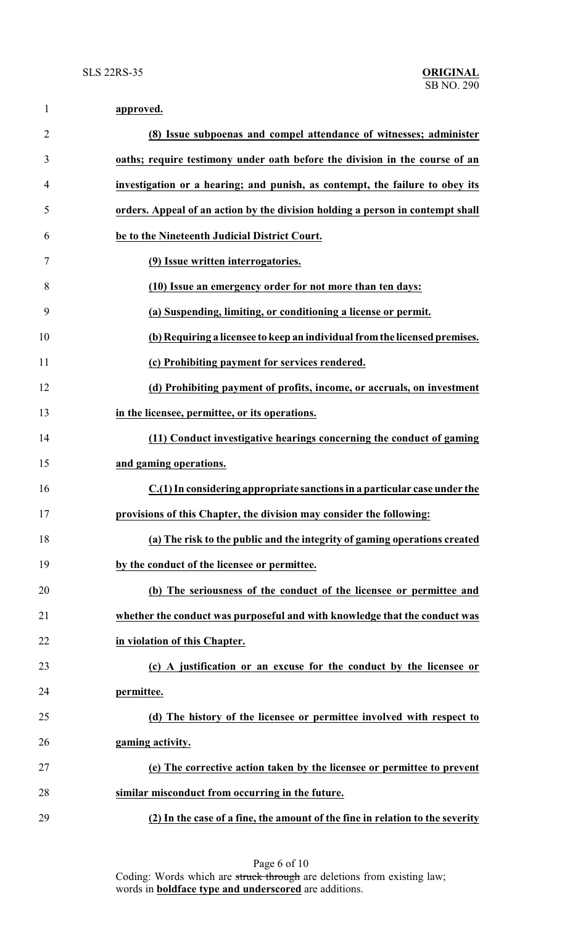| $\mathbf{1}$   | approved.                                                                      |
|----------------|--------------------------------------------------------------------------------|
| $\overline{2}$ | (8) Issue subpoenas and compel attendance of witnesses; administer             |
| 3              | oaths; require testimony under oath before the division in the course of an    |
| $\overline{4}$ | investigation or a hearing; and punish, as contempt, the failure to obey its   |
| 5              | orders. Appeal of an action by the division holding a person in contempt shall |
| 6              | be to the Nineteenth Judicial District Court.                                  |
| 7              | (9) Issue written interrogatories.                                             |
| 8              | (10) Issue an emergency order for not more than ten days:                      |
| 9              | (a) Suspending, limiting, or conditioning a license or permit.                 |
| 10             | (b) Requiring a licensee to keep an individual from the licensed premises.     |
| 11             | (c) Prohibiting payment for services rendered.                                 |
| 12             | (d) Prohibiting payment of profits, income, or accruals, on investment         |
| 13             | in the licensee, permittee, or its operations.                                 |
| 14             | (11) Conduct investigative hearings concerning the conduct of gaming           |
| 15             | and gaming operations.                                                         |
| 16             | C.(1) In considering appropriate sanctions in a particular case under the      |
| 17             | provisions of this Chapter, the division may consider the following:           |
| 18             | (a) The risk to the public and the integrity of gaming operations created      |
| 19             | by the conduct of the licensee or permittee.                                   |
| 20             | (b) The seriousness of the conduct of the licensee or permittee and            |
| 21             | whether the conduct was purposeful and with knowledge that the conduct was     |
| 22             | in violation of this Chapter.                                                  |
| 23             | (c) A justification or an excuse for the conduct by the licensee or            |
| 24             | permittee.                                                                     |
| 25             | (d) The history of the licensee or permittee involved with respect to          |
| 26             | gaming activity.                                                               |
| 27             | (e) The corrective action taken by the licensee or permittee to prevent        |
| 28             | similar misconduct from occurring in the future.                               |
| 29             | (2) In the case of a fine, the amount of the fine in relation to the severity  |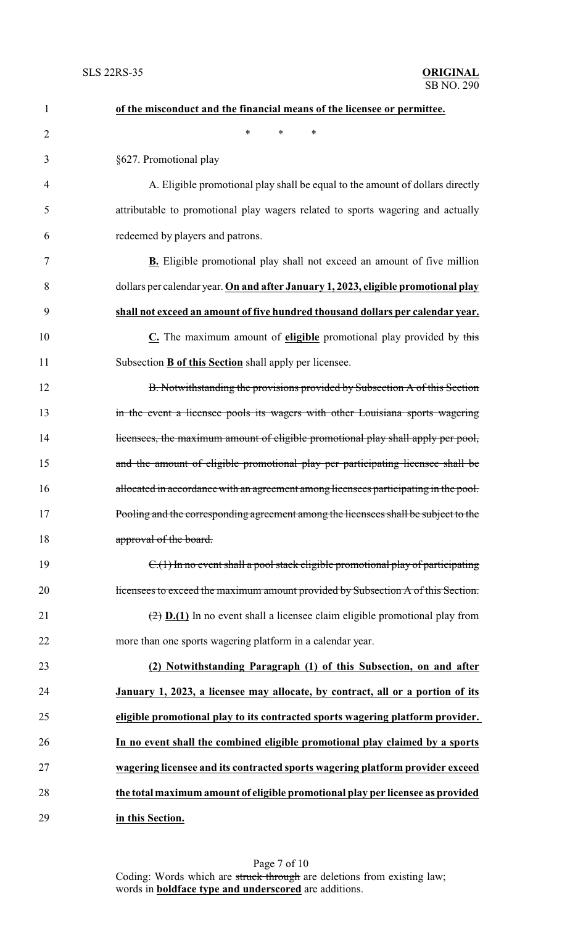| $\mathbf{1}$   | of the misconduct and the financial means of the licensee or permittee.                            |
|----------------|----------------------------------------------------------------------------------------------------|
| $\overline{2}$ | *<br>*<br>∗                                                                                        |
| 3              | §627. Promotional play                                                                             |
| 4              | A. Eligible promotional play shall be equal to the amount of dollars directly                      |
| 5              | attributable to promotional play wagers related to sports wagering and actually                    |
| 6              | redeemed by players and patrons.                                                                   |
| 7              | <b>B.</b> Eligible promotional play shall not exceed an amount of five million                     |
| 8              | dollars per calendar year. On and after January 1, 2023, eligible promotional play                 |
| 9              | shall not exceed an amount of five hundred thousand dollars per calendar year.                     |
| 10             | $C$ . The maximum amount of eligible promotional play provided by this                             |
| 11             | Subsection <b>B</b> of this Section shall apply per licensee.                                      |
| 12             | B. Notwithstanding the provisions provided by Subsection A of this Section                         |
| 13             | in the event a licensee pools its wagers with other Louisiana sports wagering                      |
| 14             | licensees, the maximum amount of eligible promotional play shall apply per pool,                   |
| 15             | and the amount of eligible promotional play per participating licensee shall be                    |
| 16             | allocated in accordance with an agreement among licensees participating in the pool.               |
| 17             | Pooling and the corresponding agreement among the licensees shall be subject to the                |
| 18             | approval of the board.                                                                             |
| 19             | $C1(1)$ In no event shall a pool stack eligible promotional play of participating                  |
| 20             | licensees to exceed the maximum amount provided by Subsection A of this Section.                   |
| 21             | $\left(\frac{1}{2}\right)$ D.(1) In no event shall a licensee claim eligible promotional play from |
| 22             | more than one sports wagering platform in a calendar year.                                         |
| 23             | (2) Notwithstanding Paragraph (1) of this Subsection, on and after                                 |
| 24             | January 1, 2023, a licensee may allocate, by contract, all or a portion of its                     |
| 25             | eligible promotional play to its contracted sports wagering platform provider.                     |
| 26             | In no event shall the combined eligible promotional play claimed by a sports                       |
| 27             | wagering licensee and its contracted sports wagering platform provider exceed                      |
| 28             | the total maximum amount of eligible promotional play per licensee as provided                     |
| 29             | in this Section.                                                                                   |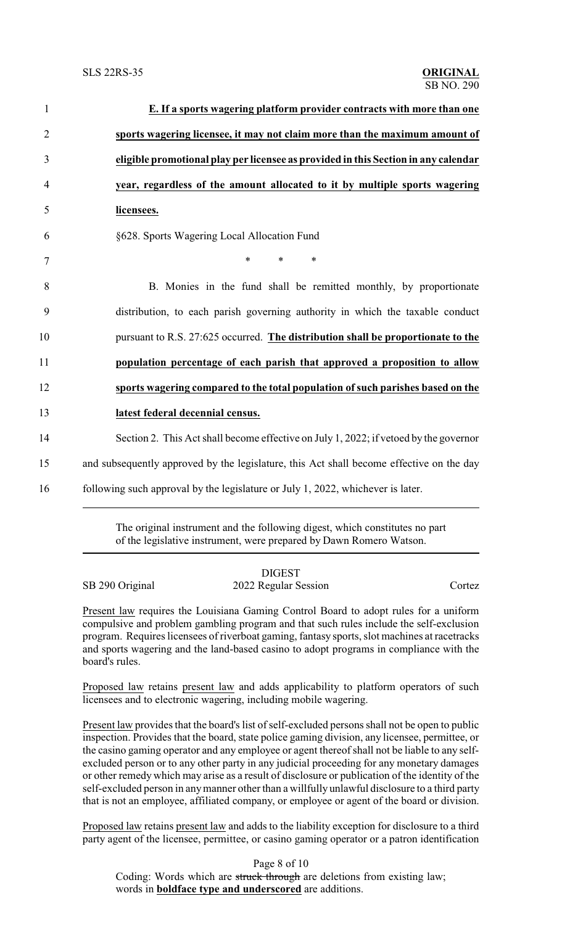| $\mathbf{1}$   | E. If a sports wagering platform provider contracts with more than one                   |
|----------------|------------------------------------------------------------------------------------------|
| $\overline{2}$ | sports wagering licensee, it may not claim more than the maximum amount of               |
| 3              | eligible promotional play per licensee as provided in this Section in any calendar       |
| $\overline{4}$ | year, regardless of the amount allocated to it by multiple sports wagering               |
| 5              | licensees.                                                                               |
| 6              | §628. Sports Wagering Local Allocation Fund                                              |
| $\tau$         | $\ast$<br>$\ast$<br>$\ast$                                                               |
| 8              | B. Monies in the fund shall be remitted monthly, by proportionate                        |
| 9              | distribution, to each parish governing authority in which the taxable conduct            |
| 10             | pursuant to R.S. 27:625 occurred. The distribution shall be proportionate to the         |
| 11             | population percentage of each parish that approved a proposition to allow                |
| 12             | sports wagering compared to the total population of such parishes based on the           |
| 13             | latest federal decennial census.                                                         |
| 14             | Section 2. This Act shall become effective on July 1, 2022; if vetoed by the governor    |
| 15             | and subsequently approved by the legislature, this Act shall become effective on the day |
| 16             | following such approval by the legislature or July 1, 2022, whichever is later.          |
|                |                                                                                          |

The original instrument and the following digest, which constitutes no part of the legislative instrument, were prepared by Dawn Romero Watson.

|                 | <b>DIGEST</b>        |        |
|-----------------|----------------------|--------|
| SB 290 Original | 2022 Regular Session | Cortez |

Present law requires the Louisiana Gaming Control Board to adopt rules for a uniform compulsive and problem gambling program and that such rules include the self-exclusion program. Requires licensees of riverboat gaming, fantasy sports, slot machines at racetracks and sports wagering and the land-based casino to adopt programs in compliance with the board's rules.

Proposed law retains present law and adds applicability to platform operators of such licensees and to electronic wagering, including mobile wagering.

Present law provides that the board's list of self-excluded persons shall not be open to public inspection. Provides that the board, state police gaming division, any licensee, permittee, or the casino gaming operator and any employee or agent thereof shall not be liable to any selfexcluded person or to any other party in any judicial proceeding for any monetary damages or other remedy which may arise as a result of disclosure or publication of the identity of the self-excluded person in anymanner other than a willfully unlawful disclosure to a third party that is not an employee, affiliated company, or employee or agent of the board or division.

Proposed law retains present law and adds to the liability exception for disclosure to a third party agent of the licensee, permittee, or casino gaming operator or a patron identification

Page 8 of 10

Coding: Words which are struck through are deletions from existing law; words in **boldface type and underscored** are additions.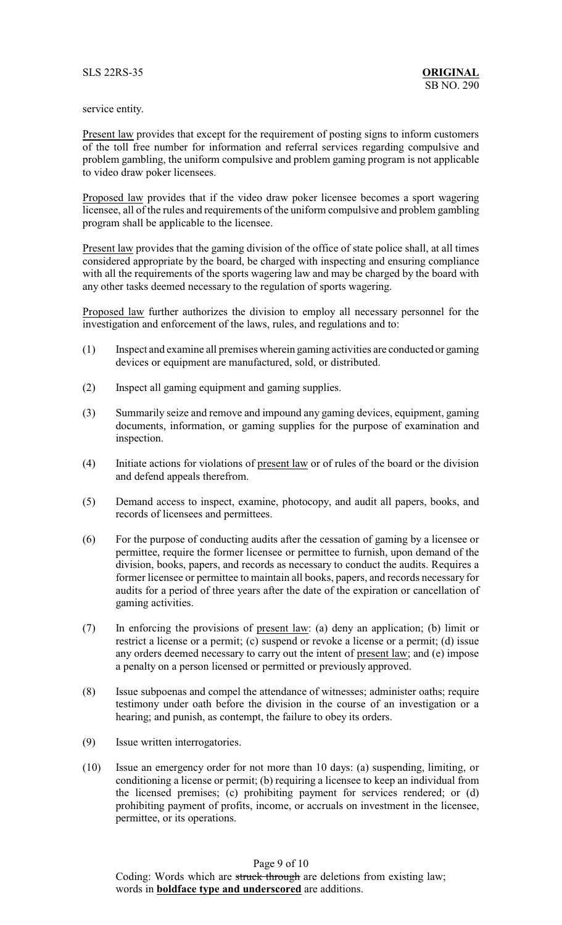## service entity.

Present law provides that except for the requirement of posting signs to inform customers of the toll free number for information and referral services regarding compulsive and problem gambling, the uniform compulsive and problem gaming program is not applicable to video draw poker licensees.

Proposed law provides that if the video draw poker licensee becomes a sport wagering licensee, all of the rules and requirements of the uniform compulsive and problem gambling program shall be applicable to the licensee.

Present law provides that the gaming division of the office of state police shall, at all times considered appropriate by the board, be charged with inspecting and ensuring compliance with all the requirements of the sports wagering law and may be charged by the board with any other tasks deemed necessary to the regulation of sports wagering.

Proposed law further authorizes the division to employ all necessary personnel for the investigation and enforcement of the laws, rules, and regulations and to:

- (1) Inspect and examine all premises wherein gaming activities are conducted or gaming devices or equipment are manufactured, sold, or distributed.
- (2) Inspect all gaming equipment and gaming supplies.
- (3) Summarily seize and remove and impound any gaming devices, equipment, gaming documents, information, or gaming supplies for the purpose of examination and inspection.
- (4) Initiate actions for violations of present law or of rules of the board or the division and defend appeals therefrom.
- (5) Demand access to inspect, examine, photocopy, and audit all papers, books, and records of licensees and permittees.
- (6) For the purpose of conducting audits after the cessation of gaming by a licensee or permittee, require the former licensee or permittee to furnish, upon demand of the division, books, papers, and records as necessary to conduct the audits. Requires a former licensee or permittee to maintain all books, papers, and records necessary for audits for a period of three years after the date of the expiration or cancellation of gaming activities.
- (7) In enforcing the provisions of present law: (a) deny an application; (b) limit or restrict a license or a permit; (c) suspend or revoke a license or a permit; (d) issue any orders deemed necessary to carry out the intent of present law; and (e) impose a penalty on a person licensed or permitted or previously approved.
- (8) Issue subpoenas and compel the attendance of witnesses; administer oaths; require testimony under oath before the division in the course of an investigation or a hearing; and punish, as contempt, the failure to obey its orders.
- (9) Issue written interrogatories.
- (10) Issue an emergency order for not more than 10 days: (a) suspending, limiting, or conditioning a license or permit; (b) requiring a licensee to keep an individual from the licensed premises; (c) prohibiting payment for services rendered; or (d) prohibiting payment of profits, income, or accruals on investment in the licensee, permittee, or its operations.

Page 9 of 10 Coding: Words which are struck through are deletions from existing law; words in **boldface type and underscored** are additions.